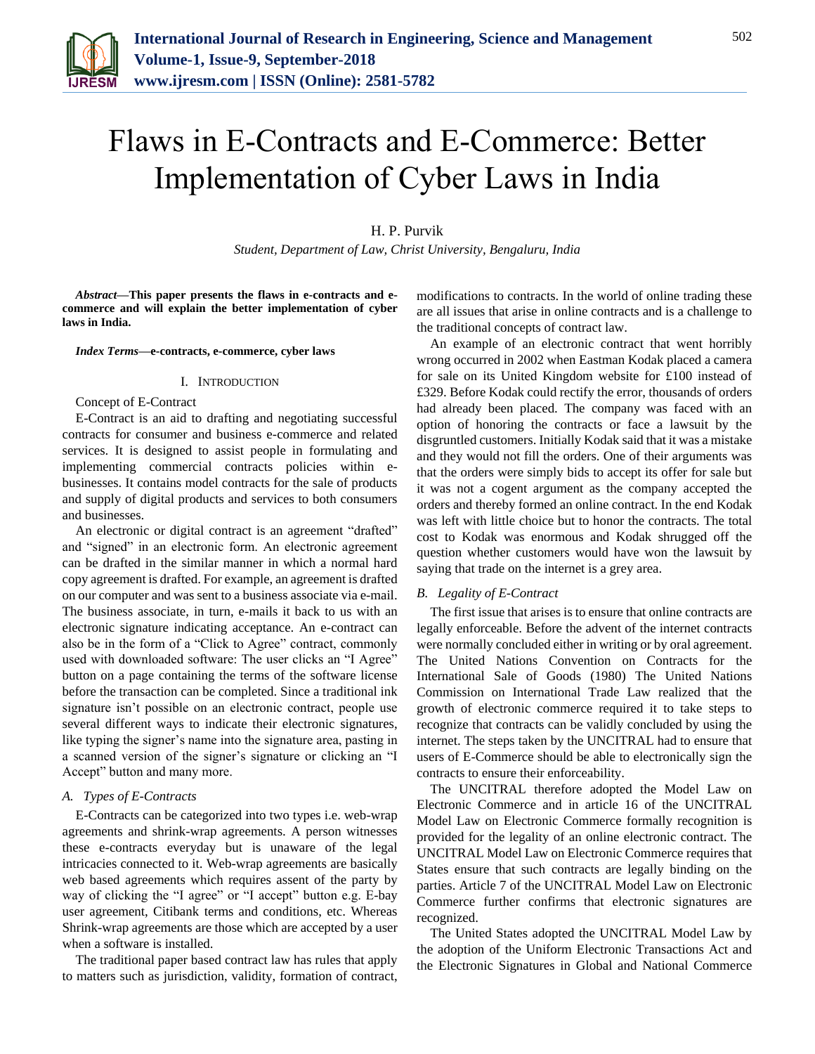

# Flaws in E-Contracts and E-Commerce: Better Implementation of Cyber Laws in India

H. P. Purvik

*Student, Department of Law, Christ University, Bengaluru, India*

*Abstract***—This paper presents the flaws in e-contracts and ecommerce and will explain the better implementation of cyber laws in India.**

*Index Terms***—e-contracts, e-commerce, cyber laws**

#### I. INTRODUCTION

#### Concept of E-Contract

E-Contract is an aid to drafting and negotiating successful contracts for consumer and business e-commerce and related services. It is designed to assist people in formulating and implementing commercial contracts policies within ebusinesses. It contains model contracts for the sale of products and supply of digital products and services to both consumers and businesses.

An electronic or digital contract is an agreement "drafted" and "signed" in an electronic form. An electronic agreement can be drafted in the similar manner in which a normal hard copy agreement is drafted. For example, an agreement is drafted on our computer and was sent to a business associate via e-mail. The business associate, in turn, e-mails it back to us with an electronic signature indicating acceptance. An e-contract can also be in the form of a "Click to Agree" contract, commonly used with downloaded software: The user clicks an "I Agree" button on a page containing the terms of the software license before the transaction can be completed. Since a traditional ink signature isn't possible on an electronic contract, people use several different ways to indicate their electronic signatures, like typing the signer's name into the signature area, pasting in a scanned version of the signer's signature or clicking an "I Accept" button and many more.

# *A. Types of E-Contracts*

E-Contracts can be categorized into two types i.e. web-wrap agreements and shrink-wrap agreements. A person witnesses these e-contracts everyday but is unaware of the legal intricacies connected to it. Web-wrap agreements are basically web based agreements which requires assent of the party by way of clicking the "I agree" or "I accept" button e.g. E-bay user agreement, Citibank terms and conditions, etc. Whereas Shrink-wrap agreements are those which are accepted by a user when a software is installed.

The traditional paper based contract law has rules that apply to matters such as jurisdiction, validity, formation of contract, modifications to contracts. In the world of online trading these are all issues that arise in online contracts and is a challenge to the traditional concepts of contract law.

An example of an electronic contract that went horribly wrong occurred in 2002 when Eastman Kodak placed a camera for sale on its United Kingdom website for £100 instead of £329. Before Kodak could rectify the error, thousands of orders had already been placed. The company was faced with an option of honoring the contracts or face a lawsuit by the disgruntled customers. Initially Kodak said that it was a mistake and they would not fill the orders. One of their arguments was that the orders were simply bids to accept its offer for sale but it was not a cogent argument as the company accepted the orders and thereby formed an online contract. In the end Kodak was left with little choice but to honor the contracts. The total cost to Kodak was enormous and Kodak shrugged off the question whether customers would have won the lawsuit by saying that trade on the internet is a grey area.

#### *B. Legality of E-Contract*

The first issue that arises is to ensure that online contracts are legally enforceable. Before the advent of the internet contracts were normally concluded either in writing or by oral agreement. The United Nations Convention on Contracts for the International Sale of Goods (1980) The United Nations Commission on International Trade Law realized that the growth of electronic commerce required it to take steps to recognize that contracts can be validly concluded by using the internet. The steps taken by the UNCITRAL had to ensure that users of E-Commerce should be able to electronically sign the contracts to ensure their enforceability.

The UNCITRAL therefore adopted the Model Law on Electronic Commerce and in article 16 of the UNCITRAL Model Law on Electronic Commerce formally recognition is provided for the legality of an online electronic contract. The UNCITRAL Model Law on Electronic Commerce requires that States ensure that such contracts are legally binding on the parties. Article 7 of the UNCITRAL Model Law on Electronic Commerce further confirms that electronic signatures are recognized.

The United States adopted the UNCITRAL Model Law by the adoption of the Uniform Electronic Transactions Act and the Electronic Signatures in Global and National Commerce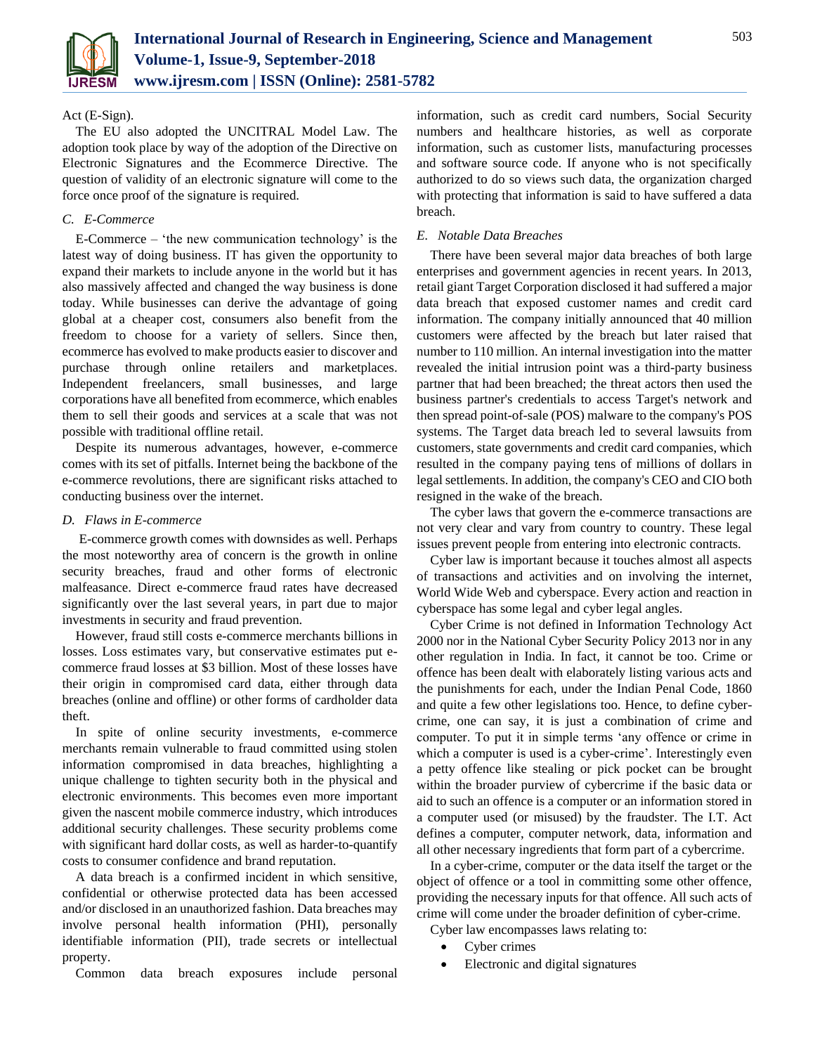

## Act (E-Sign).

The EU also adopted the UNCITRAL Model Law. The adoption took place by way of the adoption of the Directive on Electronic Signatures and the Ecommerce Directive. The question of validity of an electronic signature will come to the force once proof of the signature is required.

## *C. E-Commerce*

E-Commerce – 'the new communication technology' is the latest way of doing business. IT has given the opportunity to expand their markets to include anyone in the world but it has also massively affected and changed the way business is done today. While businesses can derive the advantage of going global at a cheaper cost, consumers also benefit from the freedom to choose for a variety of sellers. Since then, ecommerce has evolved to make products easier to discover and purchase through online retailers and marketplaces. Independent freelancers, small businesses, and large corporations have all benefited from ecommerce, which enables them to sell their goods and services at a scale that was not possible with traditional offline retail.

Despite its numerous advantages, however, e-commerce comes with its set of pitfalls. Internet being the backbone of the e-commerce revolutions, there are significant risks attached to conducting business over the internet.

## *D. Flaws in E-commerce*

E-commerce growth comes with downsides as well. Perhaps the most noteworthy area of concern is the growth in online security breaches, fraud and other forms of electronic malfeasance. Direct e-commerce fraud rates have decreased significantly over the last several years, in part due to major investments in security and fraud prevention.

However, fraud still costs e-commerce merchants billions in losses. Loss estimates vary, but conservative estimates put ecommerce fraud losses at \$3 billion. Most of these losses have their origin in compromised card data, either through data breaches (online and offline) or other forms of cardholder data theft.

In spite of online security investments, e-commerce merchants remain vulnerable to fraud committed using stolen information compromised in data breaches, highlighting a unique challenge to tighten security both in the physical and electronic environments. This becomes even more important given the nascent mobile commerce industry, which introduces additional security challenges. These security problems come with significant hard dollar costs, as well as harder-to-quantify costs to consumer confidence and brand reputation.

A data breach is a confirmed incident in which sensitive, confidential or otherwise protected data has been accessed and/or disclosed in an unauthorized fashion. Data breaches may involve personal health information (PHI), personally identifiable information (PII), trade secrets or intellectual property.

Common data breach exposures include personal

information, such as credit card numbers, Social Security numbers and healthcare histories, as well as corporate information, such as customer lists, manufacturing processes and software source code. If anyone who is not specifically authorized to do so views such data, the organization charged with protecting that information is said to have suffered a data breach.

## *E. Notable Data Breaches*

There have been several major data breaches of both large enterprises and government agencies in recent years. In 2013, retail giant Target Corporation disclosed it had suffered a major data breach that exposed customer names and credit card information. The company initially announced that 40 million customers were affected by the breach but later raised that number to 110 million. An internal investigation into the matter revealed the initial intrusion point was a third-party business partner that had been breached; the threat actors then used the business partner's credentials to access Target's network and then spread point-of-sale (POS) malware to the company's POS systems. The Target data breach led to several lawsuits from customers, state governments and credit card companies, which resulted in the company paying tens of millions of dollars in legal settlements. In addition, the company's CEO and CIO both resigned in the wake of the breach.

The cyber laws that govern the e-commerce transactions are not very clear and vary from country to country. These legal issues prevent people from entering into electronic contracts.

Cyber law is important because it touches almost all aspects of transactions and activities and on involving the internet, World Wide Web and cyberspace. Every action and reaction in cyberspace has some legal and cyber legal angles.

Cyber Crime is not defined in Information Technology Act 2000 nor in the National Cyber Security Policy 2013 nor in any other regulation in India. In fact, it cannot be too. Crime or offence has been dealt with elaborately listing various acts and the punishments for each, under the Indian Penal Code, 1860 and quite a few other legislations too. Hence, to define cybercrime, one can say, it is just a combination of crime and computer. To put it in simple terms 'any offence or crime in which a computer is used is a cyber-crime'. Interestingly even a petty offence like stealing or pick pocket can be brought within the broader purview of cybercrime if the basic data or aid to such an offence is a computer or an information stored in a computer used (or misused) by the fraudster. The I.T. Act defines a computer, computer network, data, information and all other necessary ingredients that form part of a cybercrime.

In a cyber-crime, computer or the data itself the target or the object of offence or a tool in committing some other offence, providing the necessary inputs for that offence. All such acts of crime will come under the broader definition of cyber-crime.

Cyber law encompasses laws relating to:

- Cyber crimes
- Electronic and digital signatures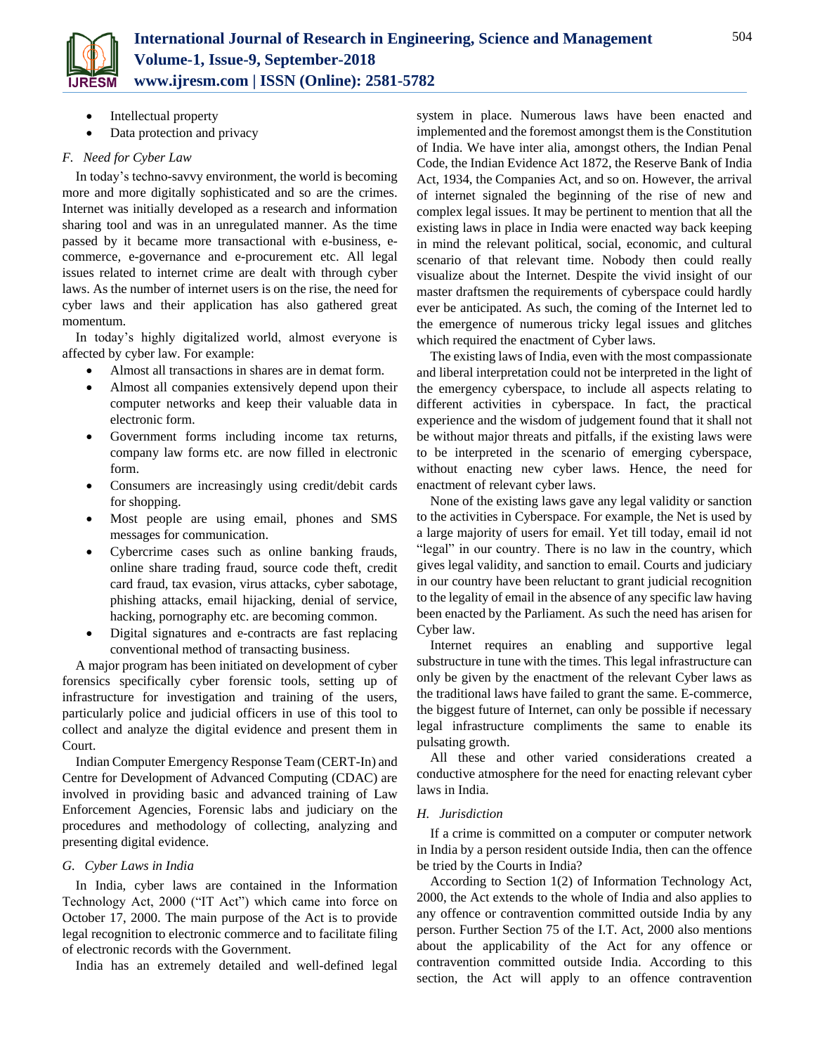

- Intellectual property
- Data protection and privacy

# *F. Need for Cyber Law*

In today's techno-savvy environment, the world is becoming more and more digitally sophisticated and so are the crimes. Internet was initially developed as a research and information sharing tool and was in an unregulated manner. As the time passed by it became more transactional with e-business, ecommerce, e-governance and e-procurement etc. All legal issues related to internet crime are dealt with through cyber laws. As the number of internet users is on the rise, the need for cyber laws and their application has also gathered great momentum.

In today's highly digitalized world, almost everyone is affected by cyber law. For example:

- Almost all transactions in shares are in demat form.
- Almost all companies extensively depend upon their computer networks and keep their valuable data in electronic form.
- Government forms including income tax returns, company law forms etc. are now filled in electronic form.
- Consumers are increasingly using credit/debit cards for shopping.
- Most people are using email, phones and SMS messages for communication.
- Cybercrime cases such as online banking frauds, online share trading fraud, source code theft, credit card fraud, tax evasion, virus attacks, cyber sabotage, phishing attacks, email hijacking, denial of service, hacking, pornography etc. are becoming common.
- Digital signatures and e-contracts are fast replacing conventional method of transacting business.

A major program has been initiated on development of cyber forensics specifically cyber forensic tools, setting up of infrastructure for investigation and training of the users, particularly police and judicial officers in use of this tool to collect and analyze the digital evidence and present them in Court.

Indian Computer Emergency Response Team (CERT-In) and Centre for Development of Advanced Computing (CDAC) are involved in providing basic and advanced training of Law Enforcement Agencies, Forensic labs and judiciary on the procedures and methodology of collecting, analyzing and presenting digital evidence.

# *G. Cyber Laws in India*

In India, cyber laws are contained in the Information Technology Act, 2000 ("IT Act") which came into force on October 17, 2000. The main purpose of the Act is to provide legal recognition to electronic commerce and to facilitate filing of electronic records with the Government.

India has an extremely detailed and well-defined legal

system in place. Numerous laws have been enacted and implemented and the foremost amongst them is the Constitution of India. We have inter alia, amongst others, the Indian Penal Code, the Indian Evidence Act 1872, the Reserve Bank of India Act, 1934, the Companies Act, and so on. However, the arrival of internet signaled the beginning of the rise of new and complex legal issues. It may be pertinent to mention that all the existing laws in place in India were enacted way back keeping in mind the relevant political, social, economic, and cultural scenario of that relevant time. Nobody then could really visualize about the Internet. Despite the vivid insight of our master draftsmen the requirements of cyberspace could hardly ever be anticipated. As such, the coming of the Internet led to the emergence of numerous tricky legal issues and glitches which required the enactment of Cyber laws.

The existing laws of India, even with the most compassionate and liberal interpretation could not be interpreted in the light of the emergency cyberspace, to include all aspects relating to different activities in cyberspace. In fact, the practical experience and the wisdom of judgement found that it shall not be without major threats and pitfalls, if the existing laws were to be interpreted in the scenario of emerging cyberspace, without enacting new cyber laws. Hence, the need for enactment of relevant cyber laws.

None of the existing laws gave any legal validity or sanction to the activities in Cyberspace. For example, the Net is used by a large majority of users for email. Yet till today, email id not "legal" in our country. There is no law in the country, which gives legal validity, and sanction to email. Courts and judiciary in our country have been reluctant to grant judicial recognition to the legality of email in the absence of any specific law having been enacted by the Parliament. As such the need has arisen for Cyber law.

Internet requires an enabling and supportive legal substructure in tune with the times. This legal infrastructure can only be given by the enactment of the relevant Cyber laws as the traditional laws have failed to grant the same. E-commerce, the biggest future of Internet, can only be possible if necessary legal infrastructure compliments the same to enable its pulsating growth.

All these and other varied considerations created a conductive atmosphere for the need for enacting relevant cyber laws in India.

# *H. Jurisdiction*

If a crime is committed on a computer or computer network in India by a person resident outside India, then can the offence be tried by the Courts in India?

According to Section 1(2) of Information Technology Act, 2000, the Act extends to the whole of India and also applies to any offence or contravention committed outside India by any person. Further Section 75 of the I.T. Act, 2000 also mentions about the applicability of the Act for any offence or contravention committed outside India. According to this section, the Act will apply to an offence contravention